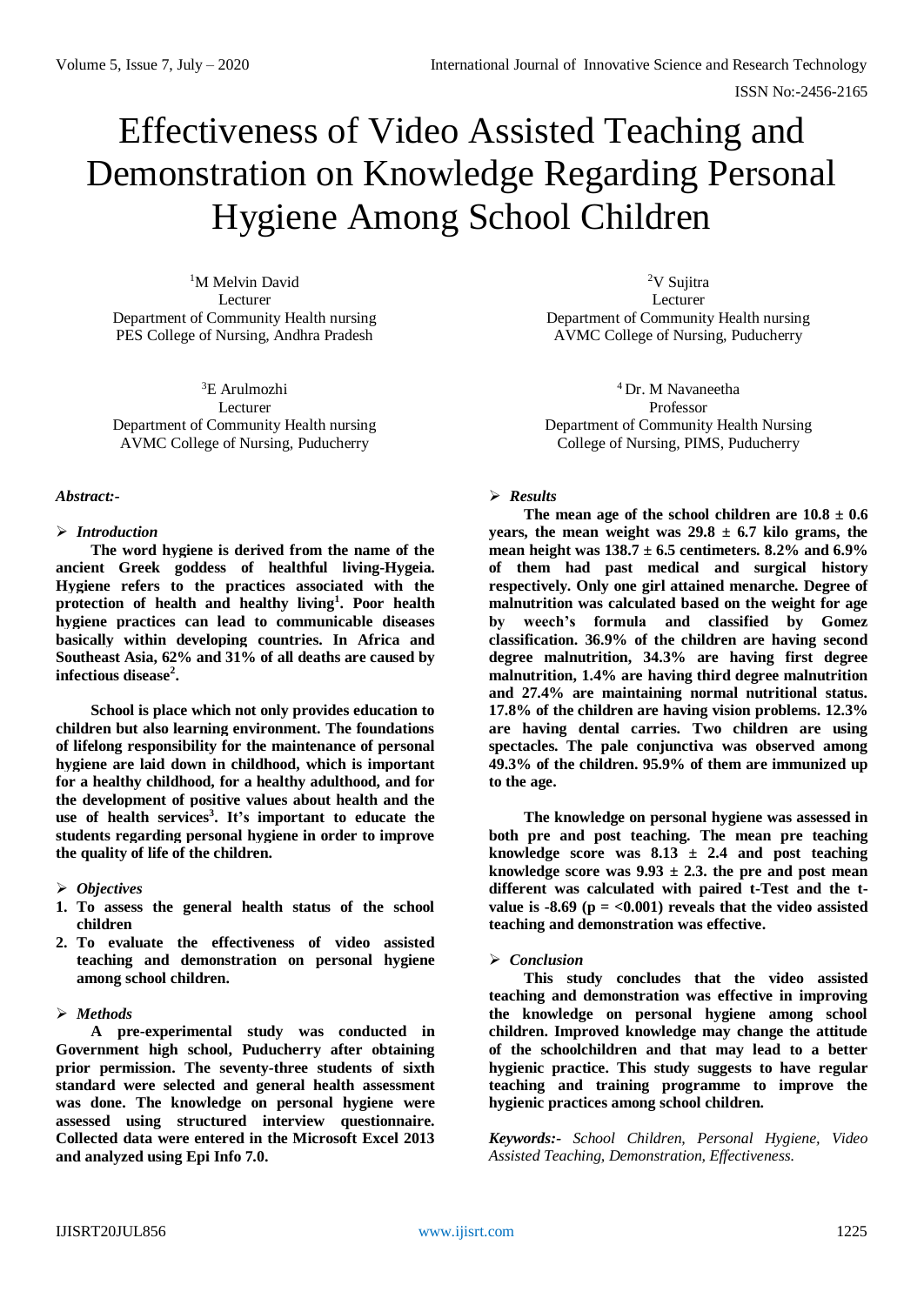# Effectiveness of Video Assisted Teaching and Demonstration on Knowledge Regarding Personal Hygiene Among School Children

<sup>1</sup>M Melvin David Lecturer Department of Community Health nursing PES College of Nursing, Andhra Pradesh

<sup>3</sup>E Arulmozhi Lecturer Department of Community Health nursing AVMC College of Nursing, Puducherry

## *Abstract:-*

## *Introduction*

**The word hygiene is derived from the name of the ancient Greek goddess of healthful living-Hygeia. Hygiene refers to the practices associated with the protection of health and healthy living<sup>1</sup> . Poor health hygiene practices can lead to communicable diseases basically within developing countries. In Africa and Southeast Asia, 62% and 31% of all deaths are caused by infectious disease<sup>2</sup> .**

**School is place which not only provides education to children but also learning environment. The foundations of lifelong responsibility for the maintenance of personal hygiene are laid down in childhood, which is important for a healthy childhood, for a healthy adulthood, and for the development of positive values about health and the use of health services<sup>3</sup> . It's important to educate the students regarding personal hygiene in order to improve the quality of life of the children.** 

# *Objectives*

- **1. To assess the general health status of the school children**
- **2. To evaluate the effectiveness of video assisted teaching and demonstration on personal hygiene among school children.**

# *Methods*

**A pre-experimental study was conducted in Government high school, Puducherry after obtaining prior permission. The seventy-three students of sixth standard were selected and general health assessment was done. The knowledge on personal hygiene were assessed using structured interview questionnaire. Collected data were entered in the Microsoft Excel 2013 and analyzed using Epi Info 7.0.**

<sup>2</sup>V Sujitra Lecturer Department of Community Health nursing AVMC College of Nursing, Puducherry

<sup>4</sup> Dr. M Navaneetha Professor Department of Community Health Nursing College of Nursing, PIMS, Puducherry

## *Results*

The mean age of the school children are  $10.8 \pm 0.6$ years, the mean weight was  $29.8 \pm 6.7$  kilo grams, the **mean height was 138.7 ± 6.5 centimeters. 8.2% and 6.9% of them had past medical and surgical history respectively. Only one girl attained menarche. Degree of malnutrition was calculated based on the weight for age by weech's formula and classified by Gomez classification. 36.9% of the children are having second degree malnutrition, 34.3% are having first degree malnutrition, 1.4% are having third degree malnutrition and 27.4% are maintaining normal nutritional status. 17.8% of the children are having vision problems. 12.3% are having dental carries. Two children are using spectacles. The pale conjunctiva was observed among 49.3% of the children. 95.9% of them are immunized up to the age.** 

**The knowledge on personal hygiene was assessed in both pre and post teaching. The mean pre teaching knowledge score was 8.13 ± 2.4 and post teaching**  knowledge score was  $9.93 \pm 2.3$ . the pre and post mean **different was calculated with paired t-Test and the tvalue is -8.69** ( $p = <0.001$ ) reveals that the video assisted **teaching and demonstration was effective.** 

## *Conclusion*

**This study concludes that the video assisted teaching and demonstration was effective in improving the knowledge on personal hygiene among school children. Improved knowledge may change the attitude of the schoolchildren and that may lead to a better hygienic practice. This study suggests to have regular teaching and training programme to improve the hygienic practices among school children.** 

*Keywords:- School Children, Personal Hygiene, Video Assisted Teaching, Demonstration, Effectiveness.*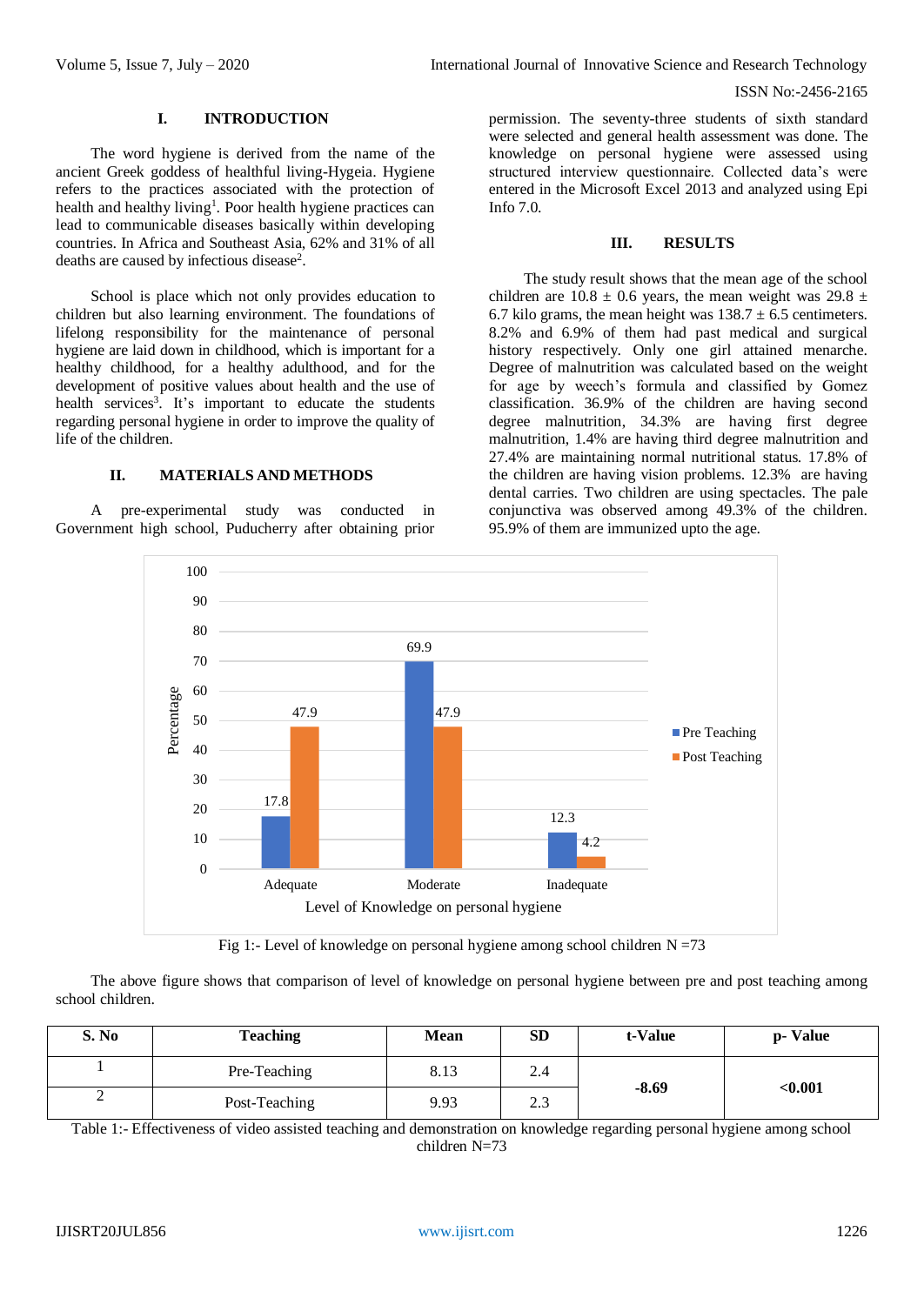ISSN No:-2456-2165

## **I. INTRODUCTION**

The word hygiene is derived from the name of the ancient Greek goddess of healthful living-Hygeia. Hygiene refers to the practices associated with the protection of health and healthy living<sup>1</sup>. Poor health hygiene practices can lead to communicable diseases basically within developing countries. In Africa and Southeast Asia, 62% and 31% of all deaths are caused by infectious disease<sup>2</sup>.

School is place which not only provides education to children but also learning environment. The foundations of lifelong responsibility for the maintenance of personal hygiene are laid down in childhood, which is important for a healthy childhood, for a healthy adulthood, and for the development of positive values about health and the use of health services<sup>3</sup>. It's important to educate the students regarding personal hygiene in order to improve the quality of life of the children.

## **II. MATERIALS AND METHODS**

A pre-experimental study was conducted in Government high school, Puducherry after obtaining prior

permission. The seventy-three students of sixth standard were selected and general health assessment was done. The knowledge on personal hygiene were assessed using structured interview questionnaire. Collected data's were entered in the Microsoft Excel 2013 and analyzed using Epi Info 7.0.

## **III. RESULTS**

The study result shows that the mean age of the school children are  $10.8 \pm 0.6$  years, the mean weight was 29.8  $\pm$ 6.7 kilo grams, the mean height was  $138.7 \pm 6.5$  centimeters. 8.2% and 6.9% of them had past medical and surgical history respectively. Only one girl attained menarche. Degree of malnutrition was calculated based on the weight for age by weech's formula and classified by Gomez classification. 36.9% of the children are having second degree malnutrition, 34.3% are having first degree malnutrition, 1.4% are having third degree malnutrition and 27.4% are maintaining normal nutritional status. 17.8% of the children are having vision problems. 12.3% are having dental carries. Two children are using spectacles. The pale conjunctiva was observed among 49.3% of the children. 95.9% of them are immunized upto the age.



Fig 1:- Level of knowledge on personal hygiene among school children  $N = 73$ 

The above figure shows that comparison of level of knowledge on personal hygiene between pre and post teaching among school children.

| S. No | <b>Teaching</b> | Mean | <b>SD</b> | t-Value | p- Value    |
|-------|-----------------|------|-----------|---------|-------------|
|       | Pre-Teaching    | 8.13 | 2.4       | $-8.69$ | $<$ $0.001$ |
| ⊷     | Post-Teaching   | 9.93 | 2.3       |         |             |

Table 1:- Effectiveness of video assisted teaching and demonstration on knowledge regarding personal hygiene among school children N=73